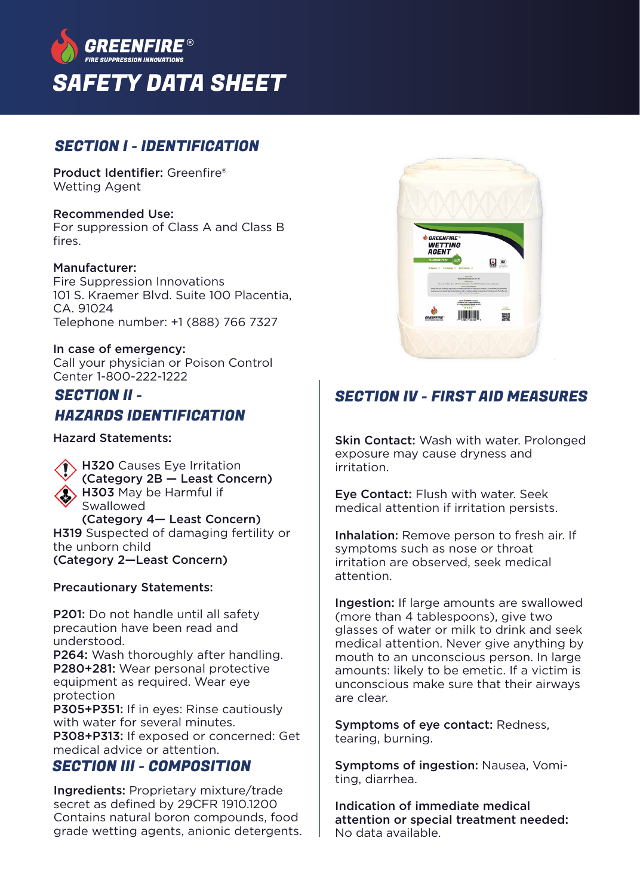

### SECTION I - IDENTIFICATION

Product Identifier: Greenfire® Wetting Agent

#### Recommended Use:

For suppression of Class A and Class B fires.

#### Manufacturer:

Fire Suppression Innovations 101 S. Kraemer Blvd. Suite 100 Placentia,  $C\Delta$  91024 Telephone number: +1 (888) 766 7327

#### In case of emergency:

Call your physician or Poison Control Center 1-800-222-1222

### SECTION II - HAZARDS IDENTIFICATION

Hazard Statements:

**H320** Causes Eye Irritation (Category 2B — Least Concern) H303 May be Harmful if Swallowed (Category 4— Least Concern) H319 Suspected of damaging fertility or the unborn child

(Category 2—Least Concern)

#### Precautionary Statements:

P201: Do not handle until all safety precaution have been read and understood. P264: Wash thoroughly after handling. P280+281: Wear personal protective equipment as required. Wear eye protection P305+P351: If in eyes: Rinse cautiously with water for several minutes. P308+P313: If exposed or concerned: Get medical advice or attention.

### SECTION III - COMPOSITION

Ingredients: Proprietary mixture/trade secret as defined by 29CFR 1910.1200 Contains natural boron compounds, food grade wetting agents, anionic detergents.



# SECTION IV - FIRST AID MEASURES

Skin Contact: Wash with water. Prolonged exposure may cause dryness and irritation.

Eye Contact: Flush with water. Seek medical attention if irritation persists.

Inhalation: Remove person to fresh air. If symptoms such as nose or throat irritation are observed, seek medical attention.

Ingestion: If large amounts are swallowed (more than 4 tablespoons), give two glasses of water or milk to drink and seek medical attention. Never give anything by mouth to an unconscious person. In large amounts: likely to be emetic. If a victim is unconscious make sure that their airways are clear.

Symptoms of eye contact: Redness, tearing, burning.

Symptoms of ingestion: Nausea, Vomiting, diarrhea.

Indication of immediate medical attention or special treatment needed: No data available.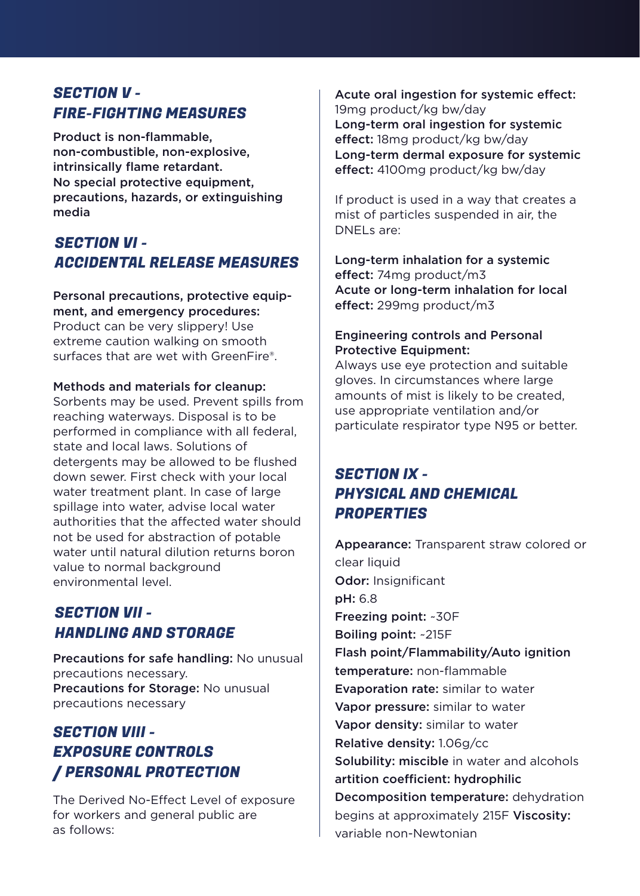## SECTION V - FIRE-FIGHTING MEASURES

Product is non-flammable, non-combustible, non-explosive, intrinsically flame retardant. No special protective equipment, precautions, hazards, or extinguishing media

## SECTION VI - ACCIDENTAL RELEASE MEASURES

Personal precautions, protective equipment, and emergency procedures: Product can be very slippery! Use extreme caution walking on smooth surfaces that are wet with GreenFire®.

#### Methods and materials for cleanup:

Sorbents may be used. Prevent spills from reaching waterways. Disposal is to be performed in compliance with all federal, state and local laws. Solutions of detergents may be allowed to be flushed down sewer. First check with your local water treatment plant. In case of large spillage into water, advise local water authorities that the affected water should not be used for abstraction of potable water until natural dilution returns boron value to normal background environmental level.

## SECTION VII - HANDLING AND STORAGE

Precautions for safe handling: No unusual precautions necessary. Precautions for Storage: No unusual precautions necessary

## SECTION VIII - EXPOSURE CONTROLS / PERSONAL PROTECTION

The Derived No-Effect Level of exposure for workers and general public are as follows:

Acute oral ingestion for systemic effect: 19mg product/kg bw/day Long-term oral ingestion for systemic effect: 18mg product/kg bw/day Long-term dermal exposure for systemic effect: 4100mg product/kg bw/day

If product is used in a way that creates a mist of particles suspended in air, the DNELs are:

Long-term inhalation for a systemic effect: 74mg product/m3 Acute or long-term inhalation for local effect: 299mg product/m3

#### Engineering controls and Personal Protective Equipment:

Always use eye protection and suitable gloves. In circumstances where large amounts of mist is likely to be created, use appropriate ventilation and/or particulate respirator type N95 or better.

## SECTION IX - PHYSICAL AND CHEMICAL **PROPERTIES**

Appearance: Transparent straw colored or clear liquid Odor: Insignificant pH: 6.8 Freezing point: ~30F Boiling point: ~215F Flash point/Flammability/Auto ignition temperature: non-flammable Evaporation rate: similar to water Vapor pressure: similar to water Vapor density: similar to water Relative density: 1.06g/cc Solubility: miscible in water and alcohols artition coefficient: hydrophilic Decomposition temperature: dehydration begins at approximately 215F Viscosity: variable non-Newtonian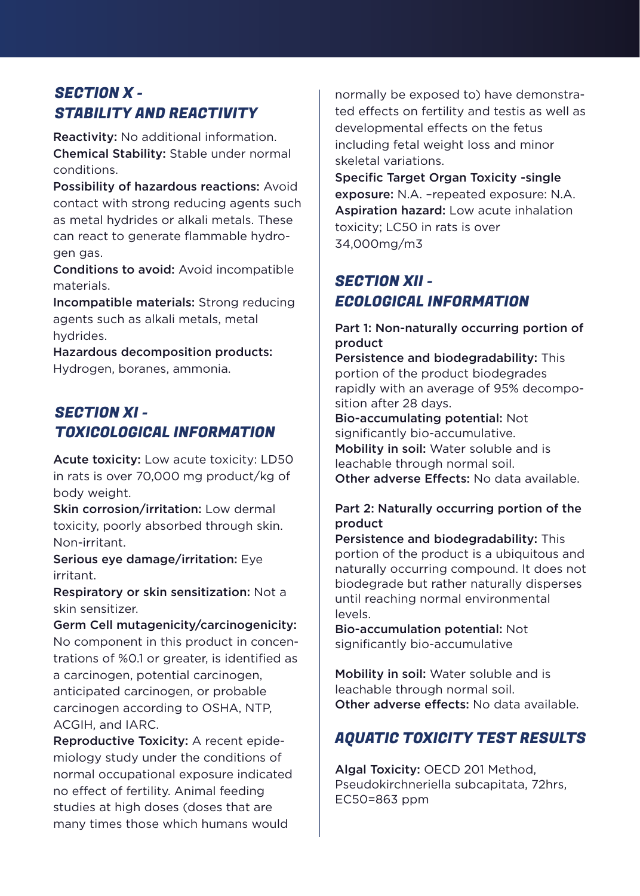# SECTION X - STABILITY AND REACTIVITY

Reactivity: No additional information. Chemical Stability: Stable under normal conditions.

Possibility of hazardous reactions: Avoid contact with strong reducing agents such as metal hydrides or alkali metals. These can react to generate flammable hydrogen gas.

Conditions to avoid: Avoid incompatible materials.

Incompatible materials: Strong reducing agents such as alkali metals, metal hydrides.

Hazardous decomposition products: Hydrogen, boranes, ammonia.

## SECTION XI - TOXICOLOGICAL INFORMATION

Acute toxicity: Low acute toxicity: LD50 in rats is over 70,000 mg product/kg of body weight.

Skin corrosion/irritation: Low dermal toxicity, poorly absorbed through skin. Non-irritant.

Serious eye damage/irritation: Eye irritant.

Respiratory or skin sensitization: Not a skin sensitizer.

Germ Cell mutagenicity/carcinogenicity: No component in this product in concentrations of %0.1 or greater, is identified as a carcinogen, potential carcinogen, anticipated carcinogen, or probable carcinogen according to OSHA, NTP, ACGIH, and IARC.

Reproductive Toxicity: A recent epidemiology study under the conditions of normal occupational exposure indicated no effect of fertility. Animal feeding studies at high doses (doses that are many times those which humans would

normally be exposed to) have demonstrated effects on fertility and testis as well as developmental effects on the fetus including fetal weight loss and minor skeletal variations.

Specific Target Organ Toxicity -single exposure: N.A. –repeated exposure: N.A. Aspiration hazard: Low acute inhalation toxicity; LC50 in rats is over 34,000mg/m3

# SECTION XII - ECOLOGICAL INFORMATION

### Part 1: Non-naturally occurring portion of product

Persistence and biodegradability: This portion of the product biodegrades rapidly with an average of 95% decomposition after 28 days.

Bio-accumulating potential: Not significantly bio-accumulative. Mobility in soil: Water soluble and is leachable through normal soil. Other adverse Effects: No data available

### Part 2: Naturally occurring portion of the product

Persistence and biodegradability: This portion of the product is a ubiquitous and naturally occurring compound. It does not biodegrade but rather naturally disperses until reaching normal environmental levels.

Bio-accumulation potential: Not significantly bio-accumulative

Mobility in soil: Water soluble and is leachable through normal soil. Other adverse effects: No data available.

## AQUATIC TOXICITY TEST RESULTS

Algal Toxicity: OECD 201 Method, Pseudokirchneriella subcapitata, 72hrs, EC50=863 ppm